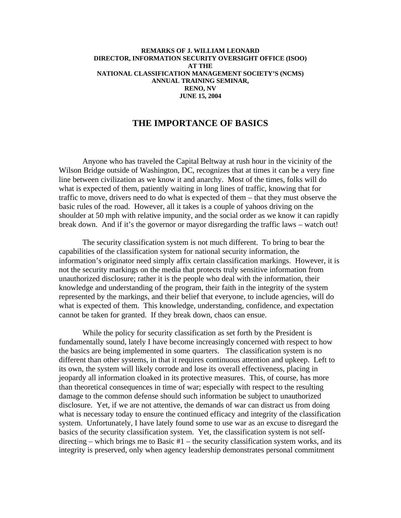## **REMARKS OF J. WILLIAM LEONARD DIRECTOR, INFORMATION SECURITY OVERSIGHT OFFICE (ISOO) AT THE NATIONAL CLASSIFICATION MANAGEMENT SOCIETY'S (NCMS) ANNUAL TRAINING SEMINAR, RENO, NV JUNE 15, 2004**

## **THE IMPORTANCE OF BASICS**

Anyone who has traveled the Capital Beltway at rush hour in the vicinity of the Wilson Bridge outside of Washington, DC, recognizes that at times it can be a very fine line between civilization as we know it and anarchy. Most of the times, folks will do what is expected of them, patiently waiting in long lines of traffic, knowing that for traffic to move, drivers need to do what is expected of them – that they must observe the basic rules of the road. However, all it takes is a couple of yahoos driving on the shoulder at 50 mph with relative impunity, and the social order as we know it can rapidly break down. And if it's the governor or mayor disregarding the traffic laws – watch out!

The security classification system is not much different. To bring to bear the capabilities of the classification system for national security information, the information's originator need simply affix certain classification markings. However, it is not the security markings on the media that protects truly sensitive information from unauthorized disclosure; rather it is the people who deal with the information, their knowledge and understanding of the program, their faith in the integrity of the system represented by the markings, and their belief that everyone, to include agencies, will do what is expected of them. This knowledge, understanding, confidence, and expectation cannot be taken for granted. If they break down, chaos can ensue.

While the policy for security classification as set forth by the President is fundamentally sound, lately I have become increasingly concerned with respect to how the basics are being implemented in some quarters. The classification system is no different than other systems, in that it requires continuous attention and upkeep. Left to its own, the system will likely corrode and lose its overall effectiveness, placing in jeopardy all information cloaked in its protective measures. This, of course, has more than theoretical consequences in time of war; especially with respect to the resulting damage to the common defense should such information be subject to unauthorized disclosure. Yet, if we are not attentive, the demands of war can distract us from doing what is necessary today to ensure the continued efficacy and integrity of the classification system. Unfortunately, I have lately found some to use war as an excuse to disregard the basics of the security classification system. Yet, the classification system is not selfdirecting – which brings me to Basic #1 – the security classification system works, and its integrity is preserved, only when agency leadership demonstrates personal commitment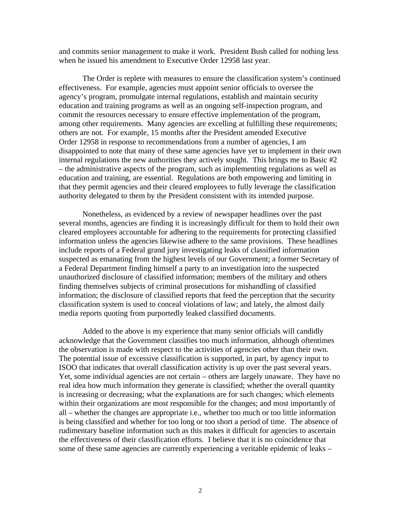and commits senior management to make it work. President Bush called for nothing less when he issued his amendment to Executive Order 12958 last year.

The Order is replete with measures to ensure the classification system's continued effectiveness. For example, agencies must appoint senior officials to oversee the agency's program, promulgate internal regulations, establish and maintain security education and training programs as well as an ongoing self-inspection program, and commit the resources necessary to ensure effective implementation of the program, among other requirements. Many agencies are excelling at fulfilling these requirements; others are not. For example, 15 months after the President amended Executive Order 12958 in response to recommendations from a number of agencies, I am disappointed to note that many of these same agencies have yet to implement in their own internal regulations the new authorities they actively sought. This brings me to Basic #2 – the administrative aspects of the program, such as implementing regulations as well as education and training, are essential. Regulations are both empowering and limiting in that they permit agencies and their cleared employees to fully leverage the classification authority delegated to them by the President consistent with its intended purpose.

Nonetheless, as evidenced by a review of newspaper headlines over the past several months, agencies are finding it is increasingly difficult for them to hold their own cleared employees accountable for adhering to the requirements for protecting classified information unless the agencies likewise adhere to the same provisions. These headlines include reports of a Federal grand jury investigating leaks of classified information suspected as emanating from the highest levels of our Government; a former Secretary of a Federal Department finding himself a party to an investigation into the suspected unauthorized disclosure of classified information; members of the military and others finding themselves subjects of criminal prosecutions for mishandling of classified information; the disclosure of classified reports that feed the perception that the security classification system is used to conceal violations of law; and lately, the almost daily media reports quoting from purportedly leaked classified documents.

Added to the above is my experience that many senior officials will candidly acknowledge that the Government classifies too much information, although oftentimes the observation is made with respect to the activities of agencies other than their own. The potential issue of excessive classification is supported, in part, by agency input to ISOO that indicates that overall classification activity is up over the past several years. Yet, some individual agencies are not certain – others are largely unaware. They have no real idea how much information they generate is classified; whether the overall quantity is increasing or decreasing; what the explanations are for such changes; which elements within their organizations are most responsible for the changes; and most importantly of all – whether the changes are appropriate i.e., whether too much or too little information is being classified and whether for too long or too short a period of time. The absence of rudimentary baseline information such as this makes it difficult for agencies to ascertain the effectiveness of their classification efforts. I believe that it is no coincidence that some of these same agencies are currently experiencing a veritable epidemic of leaks –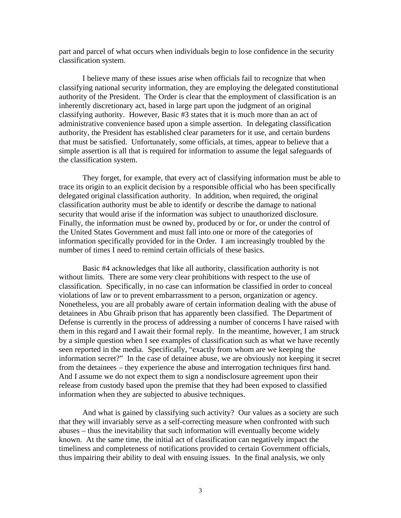part and parcel of what occurs when individuals begin to lose confidence in the security classification system.

I believe many of these issues arise when officials fail to recognize that when classifying national security information, they are employing the delegated constitutional authority of the President. The Order is clear that the employment of classification is an inherently discretionary act, based in large part upon the judgment of an original classifying authority. However, Basic #3 states that it is much more than an act of administrative convenience based upon a simple assertion. In delegating classification authority, the President has established clear parameters for it use, and certain burdens that must be satisfied. Unfortunately, some officials, at times, appear to believe that a simple assertion is all that is required for information to assume the legal safeguards of the classification system.

They forget, for example, that every act of classifying information must be able to trace its origin to an explicit decision by a responsible official who has been specifically delegated original classification authority. In addition, when required, the original classification authority must be able to identify or describe the damage to national security that would arise if the information was subject to unauthorized disclosure. Finally, the information must be owned by, produced by or for, or under the control of the United States Government and must fall into one or more of the categories of information specifically provided for in the Order. I am increasingly troubled by the number of times I need to remind certain officials of these basics.

Basic #4 acknowledges that like all authority, classification authority is not without limits. There are some very clear prohibitions with respect to the use of classification. Specifically, in no case can information be classified in order to conceal violations of law or to prevent embarrassment to a person, organization or agency. Nonetheless, you are all probably aware of certain information dealing with the abuse of detainees in Abu Ghraib prison that has apparently been classified. The Department of Defense is currently in the process of addressing a number of concerns I have raised with them in this regard and I await their formal reply. In the meantime, however, I am struck by a simple question when I see examples of classification such as what we have recently seen reported in the media. Specifically, "exactly from whom are we keeping the information secret?" In the case of detainee abuse, we are obviously not keeping it secret from the detainees – they experience the abuse and interrogation techniques first hand. And I assume we do not expect them to sign a nondisclosure agreement upon their release from custody based upon the premise that they had been exposed to classified information when they are subjected to abusive techniques.

And what is gained by classifying such activity? Our values as a society are such that they will invariably serve as a self-correcting measure when confronted with such abuses – thus the inevitability that such information will eventually become widely known. At the same time, the initial act of classification can negatively impact the timeliness and completeness of notifications provided to certain Government officials, thus impairing their ability to deal with ensuing issues. In the final analysis, we only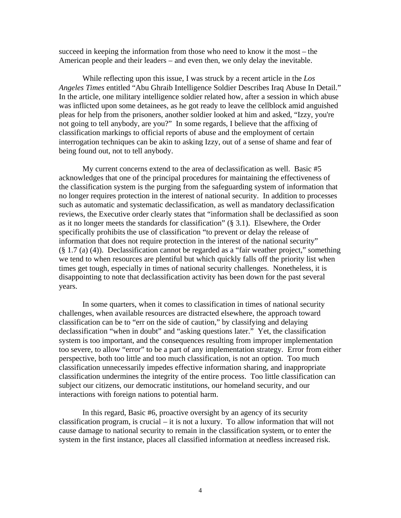succeed in keeping the information from those who need to know it the most – the American people and their leaders – and even then, we only delay the inevitable.

While reflecting upon this issue, I was struck by a recent article in the *Los Angeles Times* entitled "Abu Ghraib Intelligence Soldier Describes Iraq Abuse In Detail." In the article, one military intelligence soldier related how, after a session in which abuse was inflicted upon some detainees, as he got ready to leave the cellblock amid anguished pleas for help from the prisoners, another soldier looked at him and asked, "Izzy, you're not going to tell anybody, are you?" In some regards, I believe that the affixing of classification markings to official reports of abuse and the employment of certain interrogation techniques can be akin to asking Izzy, out of a sense of shame and fear of being found out, not to tell anybody.

My current concerns extend to the area of declassification as well. Basic #5 acknowledges that one of the principal procedures for maintaining the effectiveness of the classification system is the purging from the safeguarding system of information that no longer requires protection in the interest of national security. In addition to processes such as automatic and systematic declassification, as well as mandatory declassification reviews, the Executive order clearly states that "information shall be declassified as soon as it no longer meets the standards for classification" (§ 3.1). Elsewhere, the Order specifically prohibits the use of classification "to prevent or delay the release of information that does not require protection in the interest of the national security" (§ 1.7 (a) (4)). Declassification cannot be regarded as a "fair weather project," something we tend to when resources are plentiful but which quickly falls off the priority list when times get tough, especially in times of national security challenges. Nonetheless, it is disappointing to note that declassification activity has been down for the past several years.

In some quarters, when it comes to classification in times of national security challenges, when available resources are distracted elsewhere, the approach toward classification can be to "err on the side of caution," by classifying and delaying declassification "when in doubt" and "asking questions later." Yet, the classification system is too important, and the consequences resulting from improper implementation too severe, to allow "error" to be a part of any implementation strategy. Error from either perspective, both too little and too much classification, is not an option. Too much classification unnecessarily impedes effective information sharing, and inappropriate classification undermines the integrity of the entire process. Too little classification can subject our citizens, our democratic institutions, our homeland security, and our interactions with foreign nations to potential harm.

In this regard, Basic #6, proactive oversight by an agency of its security classification program, is crucial – it is not a luxury. To allow information that will not cause damage to national security to remain in the classification system, or to enter the system in the first instance, places all classified information at needless increased risk.